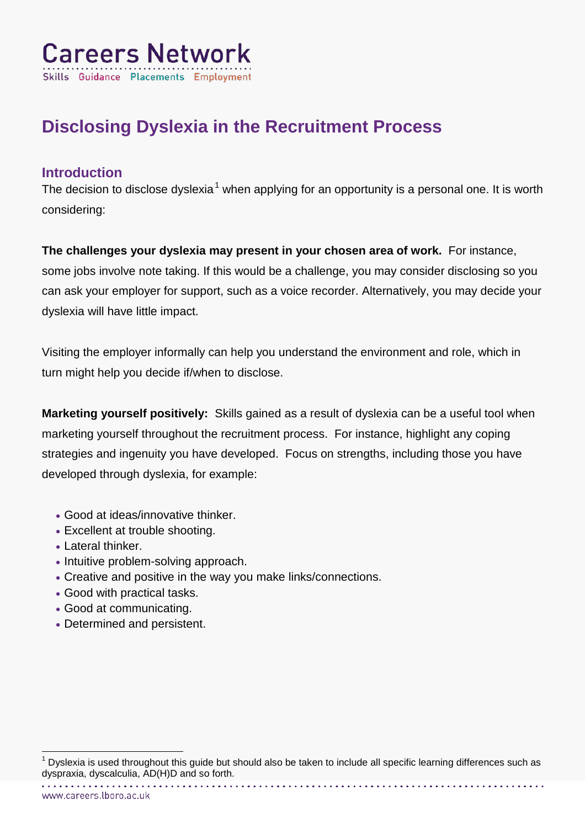

# **Disclosing Dyslexia in the Recruitment Process**

#### **Introduction**

The decision to disclose dyslexia<sup>1</sup> when applying for an opportunity is a personal one. It is worth considering:

**The challenges your dyslexia may present in your chosen area of work.** For instance, some jobs involve note taking. If this would be a challenge, you may consider disclosing so you can ask your employer for support, such as a voice recorder. Alternatively, you may decide your dyslexia will have little impact.

Visiting the employer informally can help you understand the environment and role, which in turn might help you decide if/when to disclose.

**Marketing yourself positively:** Skills gained as a result of dyslexia can be a useful tool when marketing yourself throughout the recruitment process. For instance, highlight any coping strategies and ingenuity you have developed. Focus on strengths, including those you have developed through dyslexia, for example:

- Good at ideas/innovative thinker.
- Excellent at trouble shooting.
- Lateral thinker.
- Intuitive problem-solving approach.
- Creative and positive in the way you make links/connections.
- Good with practical tasks.
- Good at communicating.
- Determined and persistent.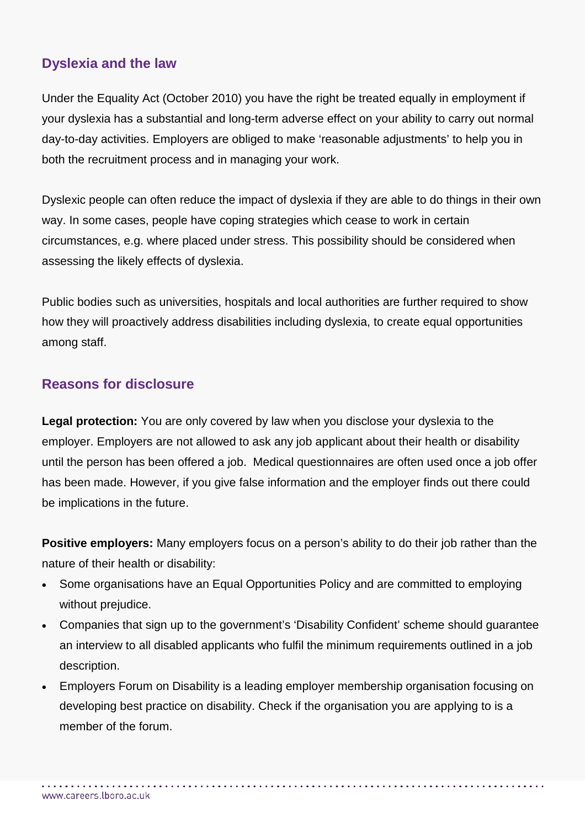## **Dyslexia and the law**

Under the Equality Act (October 2010) you have the right be treated equally in employment if your dyslexia has a substantial and long-term adverse effect on your ability to carry out normal day-to-day activities. Employers are obliged to make 'reasonable adjustments' to help you in both the recruitment process and in managing your work.

Dyslexic people can often reduce the impact of dyslexia if they are able to do things in their own way. In some cases, people have coping strategies which cease to work in certain circumstances, e.g. where placed under stress. This possibility should be considered when assessing the likely effects of dyslexia.

Public bodies such as universities, hospitals and local authorities are further required to show how they will proactively address disabilities including dyslexia, to create equal opportunities among staff.

## **Reasons for disclosure**

**Legal protection:** You are only covered by law when you disclose your dyslexia to the employer. Employers are not allowed to ask any job applicant about their health or disability until the person has been offered a job. Medical questionnaires are often used once a job offer has been made. However, if you give false information and the employer finds out there could be implications in the future.

**Positive employers:** Many employers focus on a person's ability to do their job rather than the nature of their health or disability:

- Some organisations have an Equal Opportunities Policy and are committed to employing without prejudice.
- Companies that sign up to the government's 'Disability Confident' scheme should guarantee an interview to all disabled applicants who fulfil the minimum requirements outlined in a job description.
- Employers Forum on Disability is a leading employer membership organisation focusing on developing best practice on disability. Check if the organisation you are applying to is a member of the forum.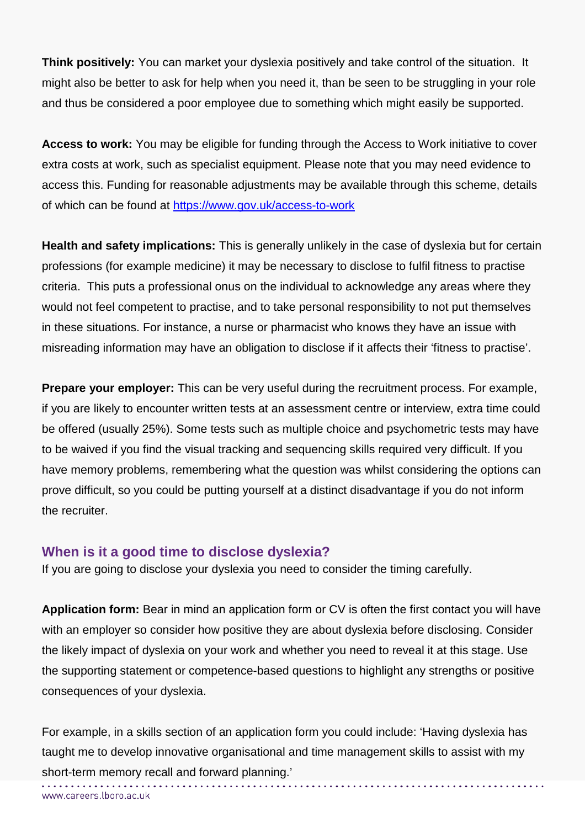**Think positively:** You can market your dyslexia positively and take control of the situation. It might also be better to ask for help when you need it, than be seen to be struggling in your role and thus be considered a poor employee due to something which might easily be supported.

**Access to work:** You may be eligible for funding through the Access to Work initiative to cover extra costs at work, such as specialist equipment. Please note that you may need evidence to access this. Funding for reasonable adjustments may be available through this scheme, details of which can be found at <https://www.gov.uk/access-to-work>

**Health and safety implications:** This is generally unlikely in the case of dyslexia but for certain professions (for example medicine) it may be necessary to disclose to fulfil fitness to practise criteria. This puts a professional onus on the individual to acknowledge any areas where they would not feel competent to practise, and to take personal responsibility to not put themselves in these situations. For instance, a nurse or pharmacist who knows they have an issue with misreading information may have an obligation to disclose if it affects their 'fitness to practise'.

**Prepare your employer:** This can be very useful during the recruitment process. For example, if you are likely to encounter written tests at an assessment centre or interview, extra time could be offered (usually 25%). Some tests such as multiple choice and psychometric tests may have to be waived if you find the visual tracking and sequencing skills required very difficult. If you have memory problems, remembering what the question was whilst considering the options can prove difficult, so you could be putting yourself at a distinct disadvantage if you do not inform the recruiter.

#### **When is it a good time to disclose dyslexia?**

If you are going to disclose your dyslexia you need to consider the timing carefully.

**Application form:** Bear in mind an application form or CV is often the first contact you will have with an employer so consider how positive they are about dyslexia before disclosing. Consider the likely impact of dyslexia on your work and whether you need to reveal it at this stage. Use the supporting statement or competence-based questions to highlight any strengths or positive consequences of your dyslexia.

For example, in a skills section of an application form you could include: 'Having dyslexia has taught me to develop innovative organisational and time management skills to assist with my short-term memory recall and forward planning.'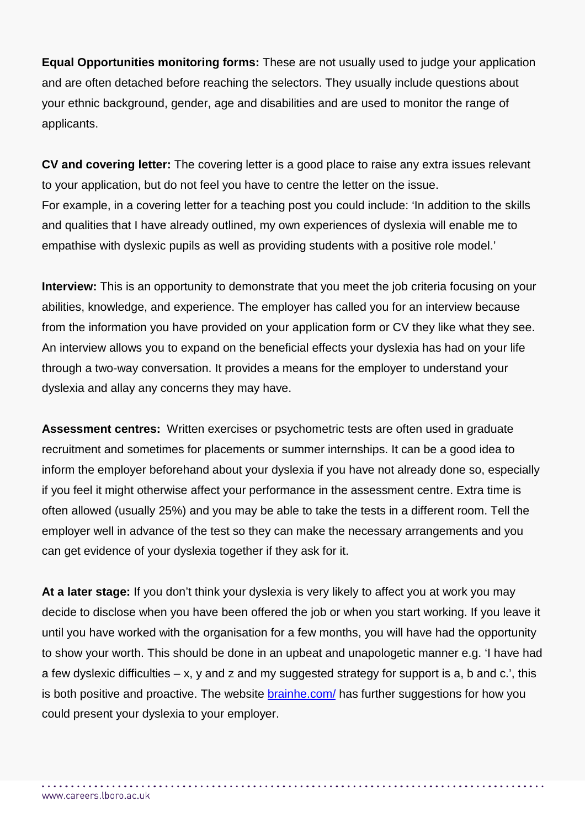**Equal Opportunities monitoring forms:** These are not usually used to judge your application and are often detached before reaching the selectors. They usually include questions about your ethnic background, gender, age and disabilities and are used to monitor the range of applicants.

**CV and covering letter:** The covering letter is a good place to raise any extra issues relevant to your application, but do not feel you have to centre the letter on the issue. For example, in a covering letter for a teaching post you could include: 'In addition to the skills and qualities that I have already outlined, my own experiences of dyslexia will enable me to empathise with dyslexic pupils as well as providing students with a positive role model.'

**Interview:** This is an opportunity to demonstrate that you meet the job criteria focusing on your abilities, knowledge, and experience. The employer has called you for an interview because from the information you have provided on your application form or CV they like what they see. An interview allows you to expand on the beneficial effects your dyslexia has had on your life through a two-way conversation. It provides a means for the employer to understand your dyslexia and allay any concerns they may have.

**Assessment centres:** Written exercises or psychometric tests are often used in graduate recruitment and sometimes for placements or summer internships. It can be a good idea to inform the employer beforehand about your dyslexia if you have not already done so, especially if you feel it might otherwise affect your performance in the assessment centre. Extra time is often allowed (usually 25%) and you may be able to take the tests in a different room. Tell the employer well in advance of the test so they can make the necessary arrangements and you can get evidence of your dyslexia together if they ask for it.

**At a later stage:** If you don't think your dyslexia is very likely to affect you at work you may decide to disclose when you have been offered the job or when you start working. If you leave it until you have worked with the organisation for a few months, you will have had the opportunity to show your worth. This should be done in an upbeat and unapologetic manner e.g. 'I have had a few dyslexic difficulties  $- x$ , y and z and my suggested strategy for support is a, b and c.', this is both positive and proactive. The website [brainhe.com/](http://brainhe.com/) has further suggestions for how you could present your dyslexia to your employer.